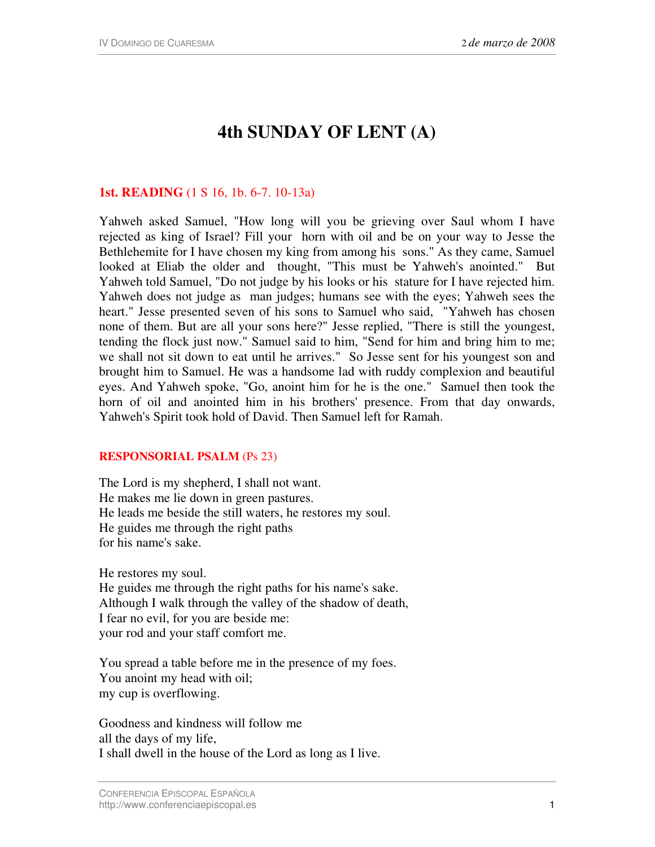# **4th SUNDAY OF LENT (A)**

# **1st. READING** (1 S 16, 1b. 6-7. 10-13a)

Yahweh asked Samuel, "How long will you be grieving over Saul whom I have rejected as king of Israel? Fill your horn with oil and be on your way to Jesse the Bethlehemite for I have chosen my king from among his sons." As they came, Samuel looked at Eliab the older and thought, "This must be Yahweh's anointed." But Yahweh told Samuel, "Do not judge by his looks or his stature for I have rejected him. Yahweh does not judge as man judges; humans see with the eyes; Yahweh sees the heart." Jesse presented seven of his sons to Samuel who said, "Yahweh has chosen none of them. But are all your sons here?" Jesse replied, "There is still the youngest, tending the flock just now." Samuel said to him, "Send for him and bring him to me; we shall not sit down to eat until he arrives." So Jesse sent for his youngest son and brought him to Samuel. He was a handsome lad with ruddy complexion and beautiful eyes. And Yahweh spoke, "Go, anoint him for he is the one." Samuel then took the horn of oil and anointed him in his brothers' presence. From that day onwards, Yahweh's Spirit took hold of David. Then Samuel left for Ramah.

### **RESPONSORIAL PSALM** (Ps 23)

The Lord is my shepherd, I shall not want. He makes me lie down in green pastures. He leads me beside the still waters, he restores my soul. He guides me through the right paths for his name's sake.

He restores my soul. He guides me through the right paths for his name's sake. Although I walk through the valley of the shadow of death, I fear no evil, for you are beside me: your rod and your staff comfort me.

You spread a table before me in the presence of my foes. You anoint my head with oil; my cup is overflowing.

Goodness and kindness will follow me all the days of my life, I shall dwell in the house of the Lord as long as I live.